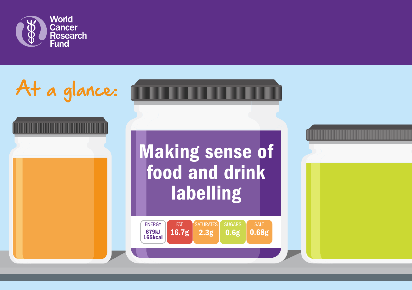

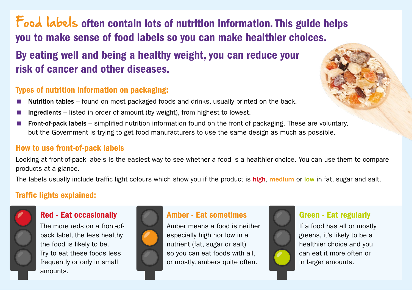# Food labels often contain lots of nutrition information. This guide helps you to make sense of food labels so you can make healthier choices.

# By eating well and being a healthy weight, you can reduce your risk of cancer and other diseases.

## Types of nutrition information on packaging:

- Nutrition tables found on most packaged foods and drinks, usually printed on the back.
- Ingredients listed in order of amount (by weight), from highest to lowest.
- Front-of-pack labels simplified nutrition information found on the front of packaging. These are voluntary, but the Government is trying to get food manufacturers to use the same design as much as possible.

### How to use front-of-pack labels

Looking at front-of-pack labels is the easiest way to see whether a food is a healthier choice. You can use them to compare products at a glance.

The labels usually include traffic light colours which show you if the product is high, medium or low in fat, sugar and salt.

## Traffic lights explained:



### Red - Eat occasionally

The more reds on a front-ofpack label, the less healthy the food is likely to be. Try to eat these foods less frequently or only in small amounts.



## Amber - Eat sometimes

Amber means a food is neither especially high nor low in a nutrient (fat, sugar or salt) so you can eat foods with all, or mostly, ambers quite often.



### Green - Eat regularly

If a food has all or mostly greens, it's likely to be a healthier choice and you can eat it more often or in larger amounts.

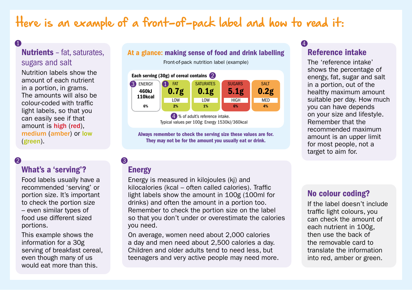# Here is an example of a front-of-pack label and how to read it:

#### Nutrients – fat, saturates, sugars and salt 0 and 10 and 10 and 10 and 10 and 10 and 10 and 10 and 10 and 10 and 10 and 10 and 10 and 10 and 10 and 10 and

Nutrition labels show the amount of each nutrient in a portion, in grams. The amounts will also be colour-coded with traffic light labels, so that you can easily see if that amount is high (red), medium (amber) or low (green).

#### $\overline{2}$  3

#### What's a 'serving'?

Food labels usually have a recommended 'serving' or portion size. It's important to check the portion size – even similar types of food use different sized portions.

This example shows the information for a 30g serving of breakfast cereal, even though many of us would eat more than this.

#### At a glance: making sense of food and drink labelling

Front-of-pack nutrition label (example)



4 % of adult's reference intake. Typical values per 100g: Energy 1530kJ/360kcal

Always remember to check the serving size these values are for. They may not be for the amount you usually eat or drink.

### Energy

Energy is measured in kilojoules (kj) and kilocalories (kcal – often called calories). Traffic light labels show the amount in 100g (100ml for drinks) and often the amount in a portion too. Remember to check the portion size on the label so that you don't under or overestimate the calories you need.

On average, women need about 2,000 calories a day and men need about 2,500 calories a day. Children and older adults tend to need less, but teenagers and very active people may need more.

### Reference intake

The 'reference intake' shows the percentage of energy, fat, sugar and salt in a portion, out of the healthy maximum amount suitable per day. How much you can have depends on your size and lifestyle. Remember that the recommended maximum amount is an upper limit for most people, not a target to aim for.

#### No colour coding?

If the label doesn't include traffic light colours, you can check the amount of each nutrient in 100g, then use the back of the removable card to translate the information into red, amber or green.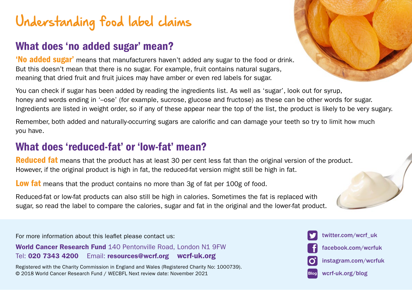# Understanding food label claims

# What does 'no added sugar' mean?

'No added sugar' means that manufacturers haven't added any sugar to the food or drink. But this doesn't mean that there is no sugar. For example, fruit contains natural sugars, meaning that dried fruit and fruit juices may have amber or even red labels for sugar.

You can check if sugar has been added by reading the ingredients list. As well as 'sugar', look out for syrup, honey and words ending in '–ose' (for example, sucrose, glucose and fructose) as these can be other words for sugar. Ingredients are listed in weight order, so if any of these appear near the top of the list, the product is likely to be very sugary.

Remember, both added and naturally-occurring sugars are calorific and can damage your teeth so try to limit how much you have.

# What does 'reduced-fat' or 'low-fat' mean?

Reduced fat means that the product has at least 30 per cent less fat than the original version of the product. However, if the original product is high in fat, the reduced-fat version might still be high in fat.

Low fat means that the product contains no more than 3g of fat per 100g of food.

Reduced-fat or low-fat products can also still be high in calories. Sometimes the fat is replaced with sugar, so read the label to compare the calories, sugar and fat in the original and the lower-fat product.

For more information about this leaflet please contact us:

World Cancer Research Fund 140 Pentonville Road, London N1 9FW Tel: 020 7343 4200 Email: [resources@wcrf.org](mailto:resources%40wcrf.org?subject=) [wcrf-uk.org](http://www.wcrf-uk.org)

Registered with the Charity Commission in England and Wales (Registered Charity No: 1000739). © 2018 World Cancer Research Fund / WECBFL Next review date: November 2021



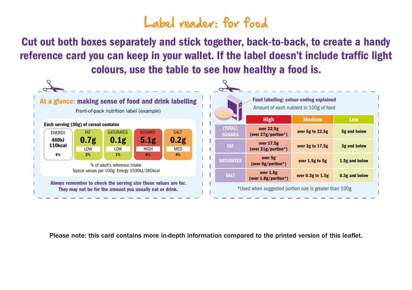# Label reader: for food

Cut out both boxes separately and stick together, back-to-back, to create a handy reference card you can keep in your wallet. If the label doesn't include traffic light colours, use the table to see how healthy a food is.



Please note: this card contains more in-depth information compared to the printed version of this leaflet.